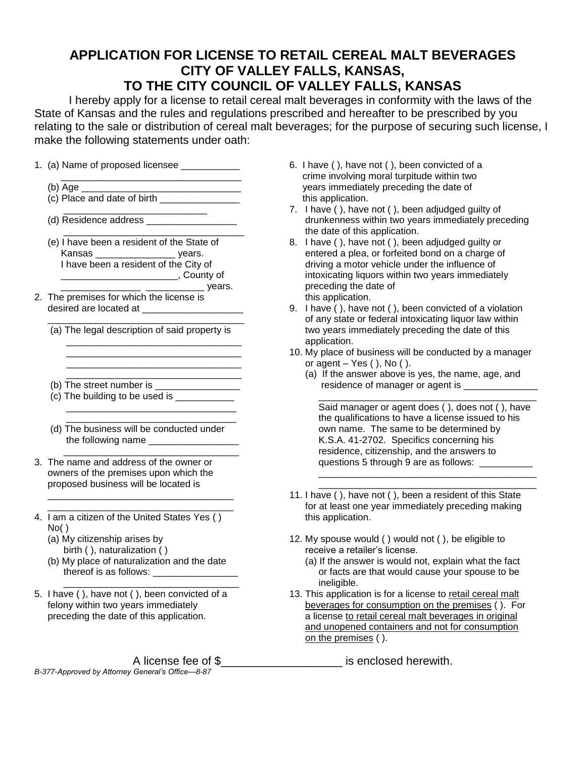## **APPLICATION FOR LICENSE TO RETAIL CEREAL MALT BEVERAGES CITY OF VALLEY FALLS, KANSAS, TO THE CITY COUNCIL OF VALLEY FALLS, KANSAS**

I hereby apply for a license to retail cereal malt beverages in conformity with the laws of the State of Kansas and the rules and regulations prescribed and hereafter to be prescribed by you relating to the sale or distribution of cereal malt beverages; for the purpose of securing such license, I make the following statements under oath:

1. (a) Name of proposed licensee \_\_\_\_\_\_\_\_\_\_\_

\_\_\_\_\_\_\_\_\_\_\_\_\_\_\_\_\_\_\_\_\_\_\_\_\_\_\_\_\_\_\_\_\_\_

- $(c)$  Place and date of birth  $\frac{1}{c}$
- $\frac{1}{\sqrt{2}}$  ,  $\frac{1}{\sqrt{2}}$  ,  $\frac{1}{\sqrt{2}}$  ,  $\frac{1}{\sqrt{2}}$  ,  $\frac{1}{\sqrt{2}}$  ,  $\frac{1}{\sqrt{2}}$  ,  $\frac{1}{\sqrt{2}}$  ,  $\frac{1}{\sqrt{2}}$  ,  $\frac{1}{\sqrt{2}}$  ,  $\frac{1}{\sqrt{2}}$  ,  $\frac{1}{\sqrt{2}}$  ,  $\frac{1}{\sqrt{2}}$  ,  $\frac{1}{\sqrt{2}}$  ,  $\frac{1}{\sqrt{2}}$  ,  $\frac{1}{\sqrt{2}}$ (d) Residence address \_\_\_\_\_\_\_\_\_\_\_\_\_\_\_\_\_
- $\frac{1}{\sqrt{2}}$  ,  $\frac{1}{\sqrt{2}}$  ,  $\frac{1}{\sqrt{2}}$  ,  $\frac{1}{\sqrt{2}}$  ,  $\frac{1}{\sqrt{2}}$  ,  $\frac{1}{\sqrt{2}}$  ,  $\frac{1}{\sqrt{2}}$  ,  $\frac{1}{\sqrt{2}}$  ,  $\frac{1}{\sqrt{2}}$  ,  $\frac{1}{\sqrt{2}}$  ,  $\frac{1}{\sqrt{2}}$  ,  $\frac{1}{\sqrt{2}}$  ,  $\frac{1}{\sqrt{2}}$  ,  $\frac{1}{\sqrt{2}}$  ,  $\frac{1}{\sqrt{2}}$  (e) I have been a resident of the State of Kansas \_\_\_\_\_\_\_\_\_\_\_\_\_\_\_ years. I have been a resident of the City of \_\_\_\_\_\_\_\_\_\_\_\_\_\_\_\_\_\_\_\_\_\_, County of \_\_\_\_\_\_\_\_\_\_\_\_\_\_\_ \_\_\_\_\_\_\_\_\_\_\_ years.
- 2. The premises for which the license is desired are located at \_\_\_\_\_\_\_\_\_\_\_\_\_\_\_\_\_\_\_
- \_\_\_\_\_\_\_\_\_\_\_\_\_\_\_\_\_\_\_\_\_\_\_\_\_\_\_\_\_\_\_\_\_\_\_\_\_ (a) The legal description of said property is \_\_\_\_\_\_\_\_\_\_\_\_\_\_\_\_\_\_\_\_\_\_\_\_\_\_\_\_\_\_\_\_\_

\_\_\_\_\_\_\_\_\_\_\_\_\_\_\_\_\_\_\_\_\_\_\_\_\_\_\_\_\_\_\_\_\_

- (b) The street number is  $\frac{1}{\sqrt{1-\frac{1}{2}}}\left\lceil \frac{1}{2}\right\rceil$
- (c) The building to be used is
- $\overline{\phantom{a}}$  ,  $\overline{\phantom{a}}$  ,  $\overline{\phantom{a}}$  ,  $\overline{\phantom{a}}$  ,  $\overline{\phantom{a}}$  ,  $\overline{\phantom{a}}$  ,  $\overline{\phantom{a}}$  ,  $\overline{\phantom{a}}$  ,  $\overline{\phantom{a}}$  ,  $\overline{\phantom{a}}$  ,  $\overline{\phantom{a}}$  ,  $\overline{\phantom{a}}$  ,  $\overline{\phantom{a}}$  ,  $\overline{\phantom{a}}$  ,  $\overline{\phantom{a}}$  ,  $\overline{\phantom{a}}$  (d) The business will be conducted under the following name \_\_\_\_\_\_\_\_\_\_\_\_\_\_\_\_\_

\_\_\_\_\_\_\_\_\_\_\_\_\_\_\_\_\_\_\_\_\_\_\_\_\_\_\_\_\_\_\_\_

- $\overline{\phantom{a}}$  ,  $\overline{\phantom{a}}$  ,  $\overline{\phantom{a}}$  ,  $\overline{\phantom{a}}$  ,  $\overline{\phantom{a}}$  ,  $\overline{\phantom{a}}$  ,  $\overline{\phantom{a}}$  ,  $\overline{\phantom{a}}$  ,  $\overline{\phantom{a}}$  ,  $\overline{\phantom{a}}$  ,  $\overline{\phantom{a}}$  ,  $\overline{\phantom{a}}$  ,  $\overline{\phantom{a}}$  ,  $\overline{\phantom{a}}$  ,  $\overline{\phantom{a}}$  ,  $\overline{\phantom{a}}$ 3. The name and address of the owner or owners of the premises upon which the proposed business will be located is
- $\frac{1}{\sqrt{2}}$  ,  $\frac{1}{\sqrt{2}}$  ,  $\frac{1}{\sqrt{2}}$  ,  $\frac{1}{\sqrt{2}}$  ,  $\frac{1}{\sqrt{2}}$  ,  $\frac{1}{\sqrt{2}}$  ,  $\frac{1}{\sqrt{2}}$  ,  $\frac{1}{\sqrt{2}}$  ,  $\frac{1}{\sqrt{2}}$  ,  $\frac{1}{\sqrt{2}}$  ,  $\frac{1}{\sqrt{2}}$  ,  $\frac{1}{\sqrt{2}}$  ,  $\frac{1}{\sqrt{2}}$  ,  $\frac{1}{\sqrt{2}}$  ,  $\frac{1}{\sqrt{2}}$ 4. I am a citizen of the United States Yes ( )  $No()$

 $\frac{1}{\sqrt{2}}$  ,  $\frac{1}{\sqrt{2}}$  ,  $\frac{1}{\sqrt{2}}$  ,  $\frac{1}{\sqrt{2}}$  ,  $\frac{1}{\sqrt{2}}$  ,  $\frac{1}{\sqrt{2}}$  ,  $\frac{1}{\sqrt{2}}$  ,  $\frac{1}{\sqrt{2}}$  ,  $\frac{1}{\sqrt{2}}$  ,  $\frac{1}{\sqrt{2}}$  ,  $\frac{1}{\sqrt{2}}$  ,  $\frac{1}{\sqrt{2}}$  ,  $\frac{1}{\sqrt{2}}$  ,  $\frac{1}{\sqrt{2}}$  ,  $\frac{1}{\sqrt{2}}$ 

- (a) My citizenship arises by birth ( ), naturalization ( )
- (b) My place of naturalization and the date thereof is as follows: \_\_\_\_\_\_\_\_\_\_\_\_\_\_\_\_  $\overline{\phantom{a}}$  ,  $\overline{\phantom{a}}$  ,  $\overline{\phantom{a}}$  ,  $\overline{\phantom{a}}$  ,  $\overline{\phantom{a}}$  ,  $\overline{\phantom{a}}$  ,  $\overline{\phantom{a}}$  ,  $\overline{\phantom{a}}$  ,  $\overline{\phantom{a}}$  ,  $\overline{\phantom{a}}$  ,  $\overline{\phantom{a}}$  ,  $\overline{\phantom{a}}$  ,  $\overline{\phantom{a}}$  ,  $\overline{\phantom{a}}$  ,  $\overline{\phantom{a}}$  ,  $\overline{\phantom{a}}$
- 5. I have ( ), have not ( ), been convicted of a felony within two years immediately preceding the date of this application.

*B-377-Approved by Attorney General's Office—8-87* 

- 6. I have ( ), have not ( ), been convicted of a crime involving moral turpitude within two (b) Age \_\_\_\_\_\_\_\_\_\_\_\_\_\_\_\_\_\_\_\_\_\_\_\_\_\_\_\_\_\_ years immediately preceding the date of this application.
	- 7. I have ( ), have not ( ), been adjudged guilty of drunkenness within two years immediately preceding the date of this application.
	- 8. I have ( ), have not ( ), been adjudged guilty or entered a plea, or forfeited bond on a charge of driving a motor vehicle under the influence of intoxicating liquors within two years immediately preceding the date of this application.
	- 9. I have ( ), have not ( ), been convicted of a violation of any state or federal intoxicating liquor law within two years immediately preceding the date of this application.
	- 10. My place of business will be conducted by a manager or agent  $-$  Yes ( ), No ( ).
		- (a) If the answer above is yes, the name, age, and residence of manager or agent is

 $\overline{\phantom{a}}$  ,  $\overline{\phantom{a}}$  ,  $\overline{\phantom{a}}$  ,  $\overline{\phantom{a}}$  ,  $\overline{\phantom{a}}$  ,  $\overline{\phantom{a}}$  ,  $\overline{\phantom{a}}$  ,  $\overline{\phantom{a}}$  ,  $\overline{\phantom{a}}$  ,  $\overline{\phantom{a}}$  ,  $\overline{\phantom{a}}$  ,  $\overline{\phantom{a}}$  ,  $\overline{\phantom{a}}$  ,  $\overline{\phantom{a}}$  ,  $\overline{\phantom{a}}$  ,  $\overline{\phantom{a}}$  Said manager or agent does ( ), does not ( ), have the qualifications to have a license issued to his own name. The same to be determined by K.S.A. 41-2702. Specifics concerning his residence, citizenship, and the answers to questions 5 through 9 are as follows: \_\_\_\_\_\_

11. I have ( ), have not ( ), been a resident of this State for at least one year immediately preceding making this application.

 $\overline{\phantom{a}}$  ,  $\overline{\phantom{a}}$  ,  $\overline{\phantom{a}}$  ,  $\overline{\phantom{a}}$  ,  $\overline{\phantom{a}}$  ,  $\overline{\phantom{a}}$  ,  $\overline{\phantom{a}}$  ,  $\overline{\phantom{a}}$  ,  $\overline{\phantom{a}}$  ,  $\overline{\phantom{a}}$  ,  $\overline{\phantom{a}}$  ,  $\overline{\phantom{a}}$  ,  $\overline{\phantom{a}}$  ,  $\overline{\phantom{a}}$  ,  $\overline{\phantom{a}}$  ,  $\overline{\phantom{a}}$ \_\_\_\_\_\_\_\_\_\_\_\_\_\_\_\_\_\_\_\_\_\_\_\_\_\_\_\_\_\_\_\_\_\_\_\_\_\_\_\_\_

- 12. My spouse would ( ) would not ( ), be eligible to receive a retailer's license.
	- (a) If the answer is would not, explain what the fact or facts are that would cause your spouse to be ineligible.
- 13. This application is for a license to retail cereal malt beverages for consumption on the premises ( ). For a license to retail cereal malt beverages in original and unopened containers and not for consumption on the premises ( ).

A license fee of \$\_\_\_\_\_\_\_\_\_\_\_\_\_\_\_\_\_\_\_ is enclosed herewith.